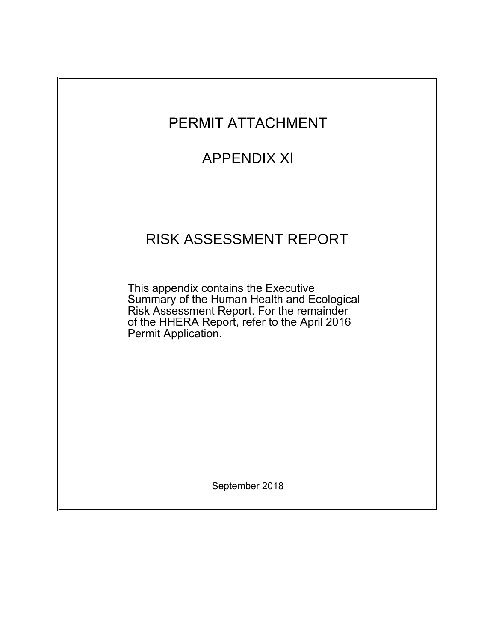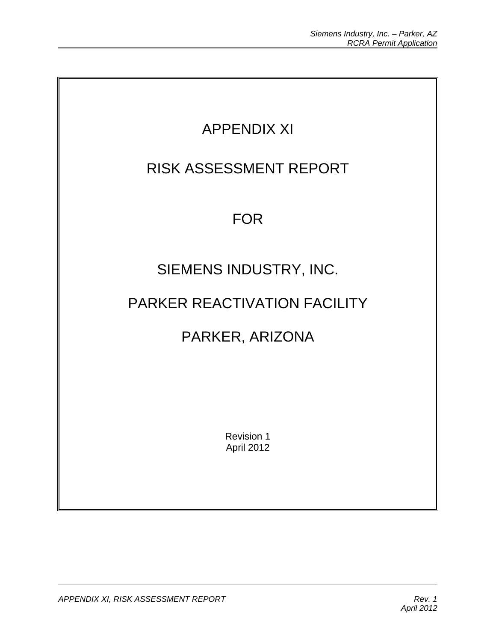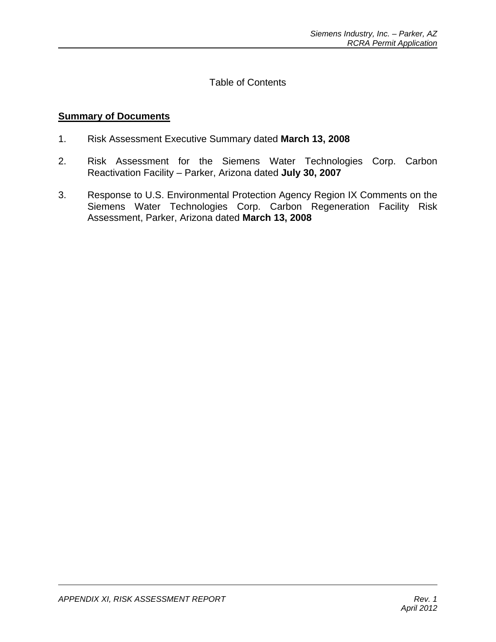Table of Contents

# **Summary of Documents**

- 1. Risk Assessment Executive Summary dated **March 13, 2008**
- 2. Risk Assessment for the Siemens Water Technologies Corp. Carbon Reactivation Facility – Parker, Arizona dated **July 30, 2007**
- 3. Response to U.S. Environmental Protection Agency Region IX Comments on the Siemens Water Technologies Corp. Carbon Regeneration Facility Risk Assessment, Parker, Arizona dated **March 13, 2008**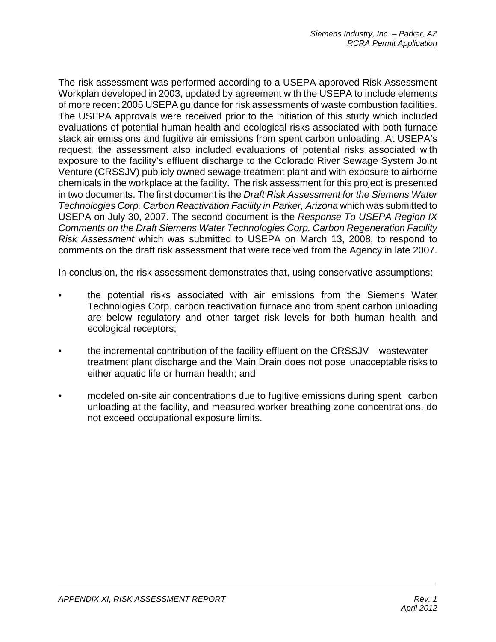The risk assessment was performed according to a USEPA-approved Risk Assessment Workplan developed in 2003, updated by agreement with the USEPA to include elements of more recent 2005 USEPA guidance for risk assessments of waste combustion facilities. The USEPA approvals were received prior to the initiation of this study which included evaluations of potential human health and ecological risks associated with both furnace stack air emissions and fugitive air emissions from spent carbon unloading. At USEPA's request, the assessment also included evaluations of potential risks associated with exposure to the facility's effluent discharge to the Colorado River Sewage System Joint Venture (CRSSJV) publicly owned sewage treatment plant and with exposure to airborne chemicals in the workplace at the facility. The risk assessment for this project is presented in two documents. The first document is the *Draft Risk Assessment for the Siemens Water Technologies Corp. Carbon Reactivation Facility in Parker, Arizona* which was submitted to USEPA on July 30, 2007. The second document is the *Response To USEPA Region IX Comments on the Draft Siemens Water Technologies Corp. Carbon Regeneration Facility Risk Assessment* which was submitted to USEPA on March 13, 2008, to respond to comments on the draft risk assessment that were received from the Agency in late 2007.

In conclusion, the risk assessment demonstrates that, using conservative assumptions:

- the potential risks associated with air emissions from the Siemens Water Technologies Corp. carbon reactivation furnace and from spent carbon unloading are below regulatory and other target risk levels for both human health and ecological receptors;
- the incremental contribution of the facility effluent on the CRSSJV wastewater treatment plant discharge and the Main Drain does not pose unacceptable risks to either aquatic life or human health; and
- modeled on-site air concentrations due to fugitive emissions during spent carbon unloading at the facility, and measured worker breathing zone concentrations, do not exceed occupational exposure limits.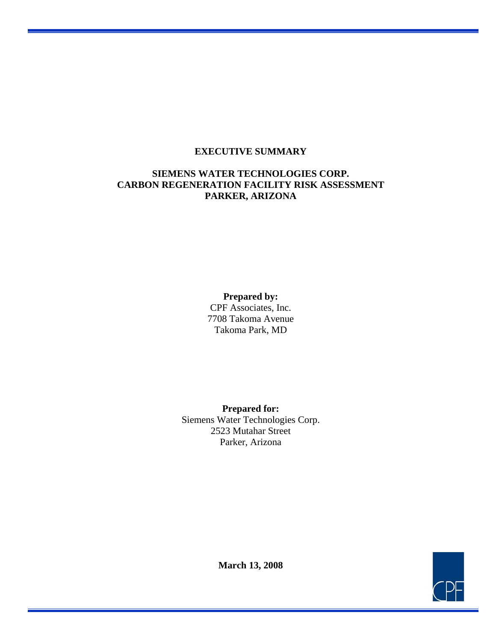### **EXECUTIVE SUMMARY**

## **SIEMENS WATER TECHNOLOGIES CORP. CARBON REGENERATION FACILITY RISK ASSESSMENT PARKER, ARIZONA**

### **Prepared by:**

CPF Associates, Inc. 7708 Takoma Avenue Takoma Park, MD

**Prepared for:**  Siemens Water Technologies Corp. 2523 Mutahar Street Parker, Arizona



**March 13, 2008**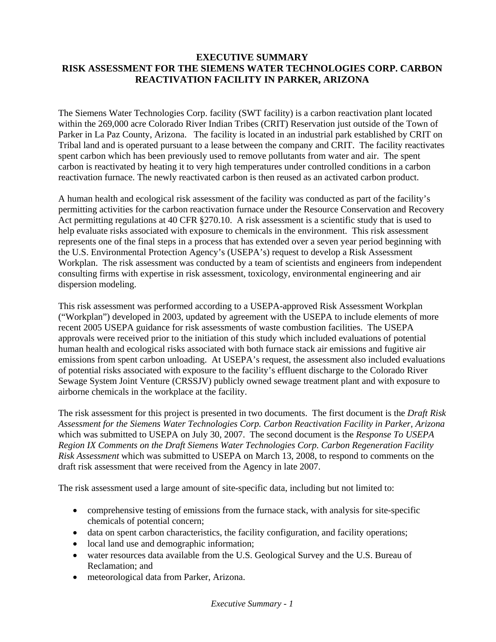### **EXECUTIVE SUMMARY RISK ASSESSMENT FOR THE SIEMENS WATER TECHNOLOGIES CORP. CARBON REACTIVATION FACILITY IN PARKER, ARIZONA**

The Siemens Water Technologies Corp. facility (SWT facility) is a carbon reactivation plant located within the 269,000 acre Colorado River Indian Tribes (CRIT) Reservation just outside of the Town of Parker in La Paz County, Arizona. The facility is located in an industrial park established by CRIT on Tribal land and is operated pursuant to a lease between the company and CRIT. The facility reactivates spent carbon which has been previously used to remove pollutants from water and air. The spent carbon is reactivated by heating it to very high temperatures under controlled conditions in a carbon reactivation furnace. The newly reactivated carbon is then reused as an activated carbon product.

A human health and ecological risk assessment of the facility was conducted as part of the facility's permitting activities for the carbon reactivation furnace under the Resource Conservation and Recovery Act permitting regulations at 40 CFR §270.10. A risk assessment is a scientific study that is used to help evaluate risks associated with exposure to chemicals in the environment. This risk assessment represents one of the final steps in a process that has extended over a seven year period beginning with the U.S. Environmental Protection Agency's (USEPA's) request to develop a Risk Assessment Workplan. The risk assessment was conducted by a team of scientists and engineers from independent consulting firms with expertise in risk assessment, toxicology, environmental engineering and air dispersion modeling.

This risk assessment was performed according to a USEPA-approved Risk Assessment Workplan ("Workplan") developed in 2003, updated by agreement with the USEPA to include elements of more recent 2005 USEPA guidance for risk assessments of waste combustion facilities. The USEPA approvals were received prior to the initiation of this study which included evaluations of potential human health and ecological risks associated with both furnace stack air emissions and fugitive air emissions from spent carbon unloading. At USEPA's request, the assessment also included evaluations of potential risks associated with exposure to the facility's effluent discharge to the Colorado River Sewage System Joint Venture (CRSSJV) publicly owned sewage treatment plant and with exposure to airborne chemicals in the workplace at the facility.

The risk assessment for this project is presented in two documents. The first document is the *Draft Risk Assessment for the Siemens Water Technologies Corp. Carbon Reactivation Facility in Parker, Arizona* which was submitted to USEPA on July 30, 2007. The second document is the *Response To USEPA Region IX Comments on the Draft Siemens Water Technologies Corp. Carbon Regeneration Facility Risk Assessment* which was submitted to USEPA on March 13, 2008, to respond to comments on the draft risk assessment that were received from the Agency in late 2007.

The risk assessment used a large amount of site-specific data, including but not limited to:

- comprehensive testing of emissions from the furnace stack, with analysis for site-specific chemicals of potential concern;
- data on spent carbon characteristics, the facility configuration, and facility operations;
- local land use and demographic information;
- water resources data available from the U.S. Geological Survey and the U.S. Bureau of Reclamation; and
- meteorological data from Parker, Arizona.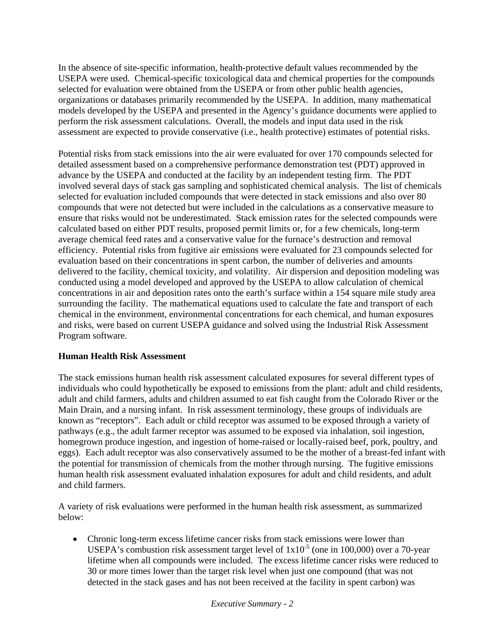In the absence of site-specific information, health-protective default values recommended by the USEPA were used. Chemical-specific toxicological data and chemical properties for the compounds selected for evaluation were obtained from the USEPA or from other public health agencies, organizations or databases primarily recommended by the USEPA. In addition, many mathematical models developed by the USEPA and presented in the Agency's guidance documents were applied to perform the risk assessment calculations. Overall, the models and input data used in the risk assessment are expected to provide conservative (i.e., health protective) estimates of potential risks.

Potential risks from stack emissions into the air were evaluated for over 170 compounds selected for detailed assessment based on a comprehensive performance demonstration test (PDT) approved in advance by the USEPA and conducted at the facility by an independent testing firm. The PDT involved several days of stack gas sampling and sophisticated chemical analysis. The list of chemicals selected for evaluation included compounds that were detected in stack emissions and also over 80 compounds that were not detected but were included in the calculations as a conservative measure to ensure that risks would not be underestimated. Stack emission rates for the selected compounds were calculated based on either PDT results, proposed permit limits or, for a few chemicals, long-term average chemical feed rates and a conservative value for the furnace's destruction and removal efficiency. Potential risks from fugitive air emissions were evaluated for 23 compounds selected for evaluation based on their concentrations in spent carbon, the number of deliveries and amounts delivered to the facility, chemical toxicity, and volatility. Air dispersion and deposition modeling was conducted using a model developed and approved by the USEPA to allow calculation of chemical concentrations in air and deposition rates onto the earth's surface within a 154 square mile study area surrounding the facility. The mathematical equations used to calculate the fate and transport of each chemical in the environment, environmental concentrations for each chemical, and human exposures and risks, were based on current USEPA guidance and solved using the Industrial Risk Assessment Program software.

## **Human Health Risk Assessment**

The stack emissions human health risk assessment calculated exposures for several different types of individuals who could hypothetically be exposed to emissions from the plant: adult and child residents, adult and child farmers, adults and children assumed to eat fish caught from the Colorado River or the Main Drain, and a nursing infant. In risk assessment terminology, these groups of individuals are known as "receptors". Each adult or child receptor was assumed to be exposed through a variety of pathways (e.g., the adult farmer receptor was assumed to be exposed via inhalation, soil ingestion, homegrown produce ingestion, and ingestion of home-raised or locally-raised beef, pork, poultry, and eggs). Each adult receptor was also conservatively assumed to be the mother of a breast-fed infant with the potential for transmission of chemicals from the mother through nursing. The fugitive emissions human health risk assessment evaluated inhalation exposures for adult and child residents, and adult and child farmers.

A variety of risk evaluations were performed in the human health risk assessment, as summarized below:

• Chronic long-term excess lifetime cancer risks from stack emissions were lower than USEPA's combustion risk assessment target level of  $1x10^{-5}$  (one in 100,000) over a 70-year lifetime when all compounds were included. The excess lifetime cancer risks were reduced to 30 or more times lower than the target risk level when just one compound (that was not detected in the stack gases and has not been received at the facility in spent carbon) was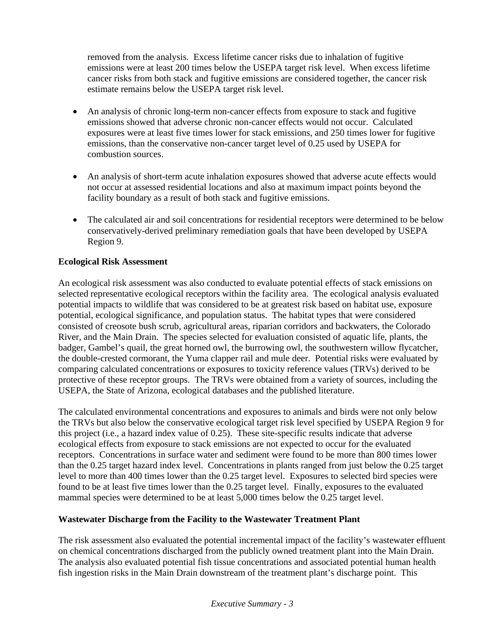removed from the analysis. Excess lifetime cancer risks due to inhalation of fugitive emissions were at least 200 times below the USEPA target risk level. When excess lifetime cancer risks from both stack and fugitive emissions are considered together, the cancer risk estimate remains below the USEPA target risk level.

- An analysis of chronic long-term non-cancer effects from exposure to stack and fugitive emissions showed that adverse chronic non-cancer effects would not occur. Calculated exposures were at least five times lower for stack emissions, and 250 times lower for fugitive emissions, than the conservative non-cancer target level of 0.25 used by USEPA for combustion sources.
- An analysis of short-term acute inhalation exposures showed that adverse acute effects would not occur at assessed residential locations and also at maximum impact points beyond the facility boundary as a result of both stack and fugitive emissions.
- The calculated air and soil concentrations for residential receptors were determined to be below conservatively-derived preliminary remediation goals that have been developed by USEPA Region 9.

## **Ecological Risk Assessment**

An ecological risk assessment was also conducted to evaluate potential effects of stack emissions on selected representative ecological receptors within the facility area. The ecological analysis evaluated potential impacts to wildlife that was considered to be at greatest risk based on habitat use, exposure potential, ecological significance, and population status. The habitat types that were considered consisted of creosote bush scrub, agricultural areas, riparian corridors and backwaters, the Colorado River, and the Main Drain. The species selected for evaluation consisted of aquatic life, plants, the badger, Gambel's quail, the great horned owl, the burrowing owl, the southwestern willow flycatcher, the double-crested cormorant, the Yuma clapper rail and mule deer. Potential risks were evaluated by comparing calculated concentrations or exposures to toxicity reference values (TRVs) derived to be protective of these receptor groups. The TRVs were obtained from a variety of sources, including the USEPA, the State of Arizona, ecological databases and the published literature.

The calculated environmental concentrations and exposures to animals and birds were not only below the TRVs but also below the conservative ecological target risk level specified by USEPA Region 9 for this project (i.e., a hazard index value of 0.25). These site-specific results indicate that adverse ecological effects from exposure to stack emissions are not expected to occur for the evaluated receptors. Concentrations in surface water and sediment were found to be more than 800 times lower than the 0.25 target hazard index level. Concentrations in plants ranged from just below the 0.25 target level to more than 400 times lower than the 0.25 target level. Exposures to selected bird species were found to be at least five times lower than the 0.25 target level. Finally, exposures to the evaluated mammal species were determined to be at least 5,000 times below the 0.25 target level.

#### **Wastewater Discharge from the Facility to the Wastewater Treatment Plant**

The risk assessment also evaluated the potential incremental impact of the facility's wastewater effluent on chemical concentrations discharged from the publicly owned treatment plant into the Main Drain. The analysis also evaluated potential fish tissue concentrations and associated potential human health fish ingestion risks in the Main Drain downstream of the treatment plant's discharge point. This